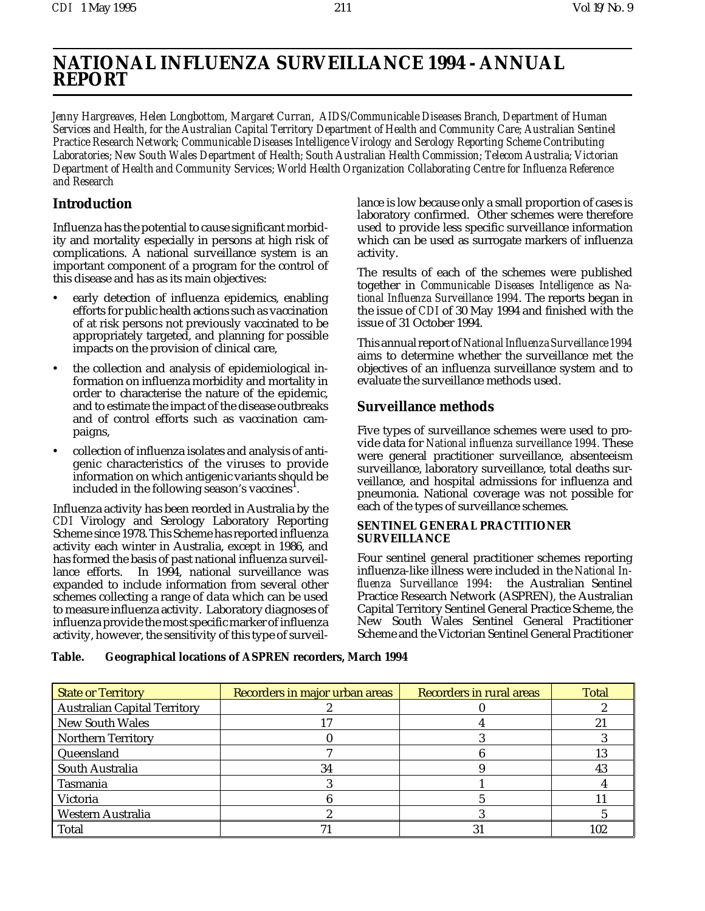# **NATIONAL INFLUENZA SURVEILLANCE 1994 - ANNUAL REPORT**

*Jenny Hargreaves, Helen Longbottom, Margaret Curran, AIDS/Communicable Diseases Branch, Department of Human Services and Health, for the Australian Capital Territory Department of Health and Community Care; Australian Sentinel Practice Research Network; Communicable Diseases Intelligence Virology and Serology Reporting Scheme Contributing Laboratories; New South Wales Department of Health; South Australian Health Commission; Telecom Australia; Victorian Department of Health and Community Services; World Health Organization Collaborating Centre for Influenza Reference and Research*

# **Introduction**

Influenza has the potential to cause significant morbidity and mortality especially in persons at high risk of complications. A national surveillance system is an important component of a program for the control of this disease and has as its main objectives:

- early detection of influenza epidemics, enabling efforts for public health actions such as vaccination of at risk persons not previously vaccinated to be appropriately targeted, and planning for possible impacts on the provision of clinical care,
- the collection and analysis of epidemiological information on influenza morbidity and mortality in order to characterise the nature of the epidemic, and to estimate the impact of the disease outbreaks and of control efforts such as vaccination campaigns,
- collection of influenza isolates and analysis of antigenic characteristics of the viruses to provide information on which antigenic variants should be included in the following season's vaccines $^{\rm l}$ .

Influenza activity has been reorded in Australia by the *CDI* Virology and Serology Laboratory Reporting Scheme since 1978. This Scheme has reported influenza activity each winter in Australia, except in 1986, and has formed the basis of past national influenza surveillance efforts. In 1994, national surveillance was expanded to include information from several other schemes collecting a range of data which can be used to measure influenza activity. Laboratory diagnoses of influenza provide the most specific marker of influenza activity, however, the sensitivity of this type of surveillance is low because only a small proportion of cases is laboratory confirmed. Other schemes were therefore used to provide less specific surveillance information which can be used as surrogate markers of influenza activity.

The results of each of the schemes were published together in *Communicable Diseases Intelligence* as *National Influenza Surveillance 1994*. The reports began in the issue of *CDI* of 30 May 1994 and finished with the issue of 31 October 1994.

This annual report of *National Influenza Surveillance 1994* aims to determine whether the surveillance met the objectives of an influenza surveillance system and to evaluate the surveillance methods used.

# **Surveillance methods**

Five types of surveillance schemes were used to provide data for *National influenza surveillance 1994.* These were general practitioner surveillance, absenteeism surveillance, laboratory surveillance, total deaths surveillance, and hospital admissions for influenza and pneumonia. National coverage was not possible for each of the types of surveillance schemes.

# **SENTINEL GENERAL PRACTITIONER SURVEILLANCE**

Four sentinel general practitioner schemes reporting influenza-like illness were included in the *National Influenza Surveillance 1994*: the Australian Sentinel Practice Research Network (ASPREN), the Australian Capital Territory Sentinel General Practice Scheme, the New South Wales Sentinel General Practitioner Scheme and the Victorian Sentinel General Practitioner

| Table. | <b>Geographical locations of ASPREN recorders, March 1994</b> |
|--------|---------------------------------------------------------------|
|--------|---------------------------------------------------------------|

| <b>State or Territory</b>           | Recorders in major urban areas | Recorders in rural areas | <b>Total</b> |
|-------------------------------------|--------------------------------|--------------------------|--------------|
| <b>Australian Capital Territory</b> |                                |                          |              |
| <b>New South Wales</b>              |                                |                          | 21           |
| <b>Northern Territory</b>           |                                |                          |              |
| Queensland                          |                                |                          | 13           |
| South Australia                     | 34                             |                          |              |
| Tasmania                            |                                |                          |              |
| Victoria                            |                                |                          |              |
| Western Australia                   |                                |                          |              |
| <b>Total</b>                        |                                |                          | 102          |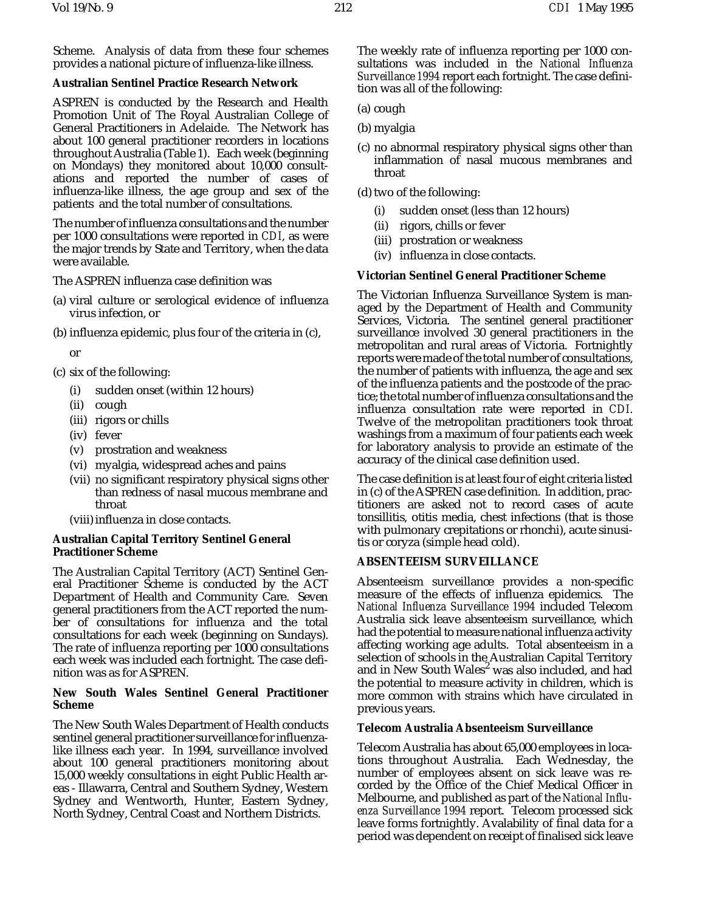Scheme. Analysis of data from these four schemes provides a national picture of influenza-like illness.

# **Australian Sentinel Practice Research Network**

ASPREN is conducted by the Research and Health Promotion Unit of The Royal Australian College of General Practitioners in Adelaide. The Network has about 100 general practitioner recorders in locations throughout Australia (Table 1). Each week (beginning on Mondays) they monitored about 10,000 consultations and reported the number of cases of influenza-like illness, the age group and sex of the patients and the total number of consultations.

The number of influenza consultations and the number per 1000 consultations were reported in *CDI*, as were the major trends by State and Territory, when the data were available.

The ASPREN influenza case definition was

- (a) viral culture or serological evidence of influenza virus infection, or
- (b) influenza epidemic, plus four of the criteria in (c),

or

- (c) six of the following:
	- (i) sudden onset (within 12 hours)
	- (ii) cough
	- (iii) rigors or chills
	- (iv) fever
	- (v) prostration and weakness
	- (vi) myalgia, widespread aches and pains
	- (vii) no significant respiratory physical signs other than redness of nasal mucous membrane and throat
	- (viii) influenza in close contacts.

# **Australian Capital Territory Sentinel General Practitioner Scheme**

The Australian Capital Territory (ACT) Sentinel General Practitioner Scheme is conducted by the ACT Department of Health and Community Care. Seven general practitioners from the ACT reported the number of consultations for influenza and the total consultations for each week (beginning on Sundays). The rate of influenza reporting per 1000 consultations each week was included each fortnight. The case definition was as for ASPREN.

# **New South Wales Sentinel General Practitioner Scheme**

The New South Wales Department of Health conducts sentinel general practitioner surveillance for influenzalike illness each year. In 1994, surveillance involved about 100 general practitioners monitoring about 15,000 weekly consultations in eight Public Health areas - Illawarra, Central and Southern Sydney, Western Sydney and Wentworth, Hunter, Eastern Sydney, North Sydney, Central Coast and Northern Districts.

The weekly rate of influenza reporting per 1000 consultations was included in the *National Influenza Surveillance 1994* report each fortnight. The case definition was all of the following:

- (a) cough
- (b) myalgia
- (c) no abnormal respiratory physical signs other than inflammation of nasal mucous membranes and throat
- (d) two of the following:
	- (i) sudden onset (less than 12 hours)
	- (ii) rigors, chills or fever
	- (iii) prostration or weakness
	- (iv) influenza in close contacts.

# **Victorian Sentinel General Practitioner Scheme**

The Victorian Influenza Surveillance System is managed by the Department of Health and Community Services, Victoria. The sentinel general practitioner surveillance involved 30 general practitioners in the metropolitan and rural areas of Victoria. Fortnightly reports were made of the total number of consultations, the number of patients with influenza, the age and sex of the influenza patients and the postcode of the practice; the total number of influenza consultations and the influenza consultation rate were reported in *CDI*. Twelve of the metropolitan practitioners took throat washings from a maximum of four patients each week for laboratory analysis to provide an estimate of the accuracy of the clinical case definition used.

The case definition is at least four of eight criteria listed in (c) of the ASPREN case definition. In addition, practitioners are asked not to record cases of acute tonsillitis, otitis media, chest infections (that is those with pulmonary crepitations or rhonchi), acute sinusitis or coryza (simple head cold).

# **ABSENTEEISM SURVEILLANCE**

Absenteeism surveillance provides a non-specific measure of the effects of influenza epidemics. The *National Influenza Surveillance 1994* included Telecom Australia sick leave absenteeism surveillance, which had the potential to measure national influenza activity affecting working age adults. Total absenteeism in a selection of schools in the Australian Capital Territory and in New South Wales $^2$  was also included, and had the potential to measure activity in children, which is more common with strains which have circulated in previous years.

# **Telecom Australia Absenteeism Surveillance**

Telecom Australia has about 65,000 employees in locations throughout Australia. Each Wednesday, the number of employees absent on sick leave was recorded by the Office of the Chief Medical Officer in Melbourne, and published as part of the *National Influenza Surveillance 1994* report. Telecom processed sick leave forms fortnightly. Avalability of final data for a period was dependent on receipt of finalised sick leave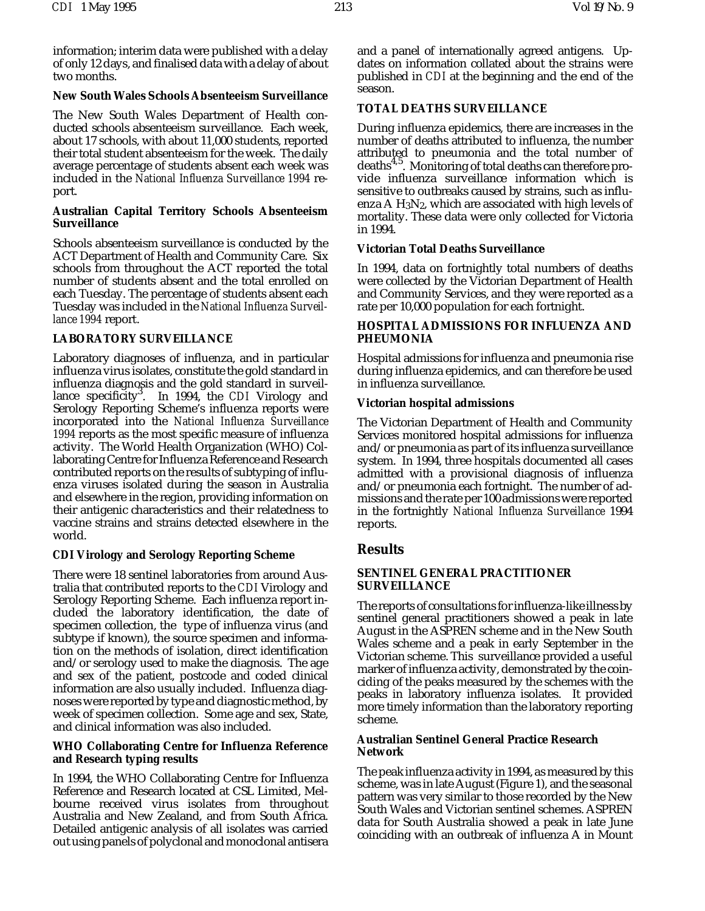information; interim data were published with a delay of only 12 days, and finalised data with a delay of about two months.

# **New South Wales Schools Absenteeism Surveillance**

The New South Wales Department of Health conducted schools absenteeism surveillance. Each week, about 17 schools, with about 11,000 students, reported their total student absenteeism for the week. The daily average percentage of students absent each week was included in the *National Influenza Surveillance 1994* report.

## **Australian Capital Territory Schools Absenteeism Surveillance**

Schools absenteeism surveillance is conducted by the ACT Department of Health and Community Care. Six schools from throughout the ACT reported the total number of students absent and the total enrolled on each Tuesday. The percentage of students absent each Tuesday was included in the *National Influenza Surveillance 1994* report.

# **LABORATORY SURVEILLANCE**

Laboratory diagnoses of influenza, and in particular influenza virus isolates, constitute the gold standard in influenza diagnosis and the gold standard in surveillance specificity<sup>3</sup>. In 1994, the *CDI* Virology and Serology Reporting Scheme's influenza reports were incorporated into the *National Influenza Surveillance 1994* reports as the most specific measure of influenza activity. The World Health Organization (WHO) Collaborating Centre for Influenza Reference and Research contributed reports on the results of subtyping of influenza viruses isolated during the season in Australia and elsewhere in the region, providing information on their antigenic characteristics and their relatedness to vaccine strains and strains detected elsewhere in the world.

# *CDI* **Virology and Serology Reporting Scheme**

There were 18 sentinel laboratories from around Australia that contributed reports to the *CDI* Virology and Serology Reporting Scheme. Each influenza report included the laboratory identification, the date of specimen collection, the type of influenza virus (and subtype if known), the source specimen and information on the methods of isolation, direct identification and/or serology used to make the diagnosis. The age and sex of the patient, postcode and coded clinical information are also usually included. Influenza diagnoses were reported by type and diagnostic method, by week of specimen collection. Some age and sex, State, and clinical information was also included.

# **WHO Collaborating Centre for Influenza Reference and Research typing results**

In 1994, the WHO Collaborating Centre for Influenza Reference and Research located at CSL Limited, Melbourne received virus isolates from throughout Australia and New Zealand, and from South Africa. Detailed antigenic analysis of all isolates was carried out using panels of polyclonal and monoclonal antisera

and a panel of internationally agreed antigens. Updates on information collated about the strains were published in *CDI* at the beginning and the end of the season.

# **TOTAL DEATHS SURVEILLANCE**

During influenza epidemics, there are increases in the number of deaths attributed to influenza, the number attributed to pneumonia and the total number of deaths<sup>4,5</sup>. Monitoring of total deaths can therefore provide influenza surveillance information which is sensitive to outbreaks caused by strains, such as influenza A H3N2, which are associated with high levels of mortality. These data were only collected for Victoria in 1994.

# **Victorian Total Deaths Surveillance**

In 1994, data on fortnightly total numbers of deaths were collected by the Victorian Department of Health and Community Services, and they were reported as a rate per 10,000 population for each fortnight.

# **HOSPITAL ADMISSIONS FOR INFLUENZA AND PHEUMONIA**

Hospital admissions for influenza and pneumonia rise during influenza epidemics, and can therefore be used in influenza surveillance.

#### **Victorian hospital admissions**

The Victorian Department of Health and Community Services monitored hospital admissions for influenza and/or pneumonia as part of its influenza surveillance system. In 1994, three hospitals documented all cases admitted with a provisional diagnosis of influenza and/or pneumonia each fortnight. The number of admissions and the rate per 100 admissions were reported in the fortnightly *National Influenza Surveillance* 1994 reports.

# **Results**

# **SENTINEL GENERAL PRACTITIONER SURVEILLANCE**

The reports of consultations for influenza-like illness by sentinel general practitioners showed a peak in late August in the ASPREN scheme and in the New South Wales scheme and a peak in early September in the Victorian scheme. This surveillance provided a useful marker of influenza activity, demonstrated by the coinciding of the peaks measured by the schemes with the peaks in laboratory influenza isolates. It provided more timely information than the laboratory reporting scheme.

#### **Australian Sentinel General Practice Research Network**

The peak influenza activity in 1994, as measured by this scheme, was in late August (Figure 1), and the seasonal pattern was very similar to those recorded by the New South Wales and Victorian sentinel schemes. ASPREN data for South Australia showed a peak in late June coinciding with an outbreak of influenza A in Mount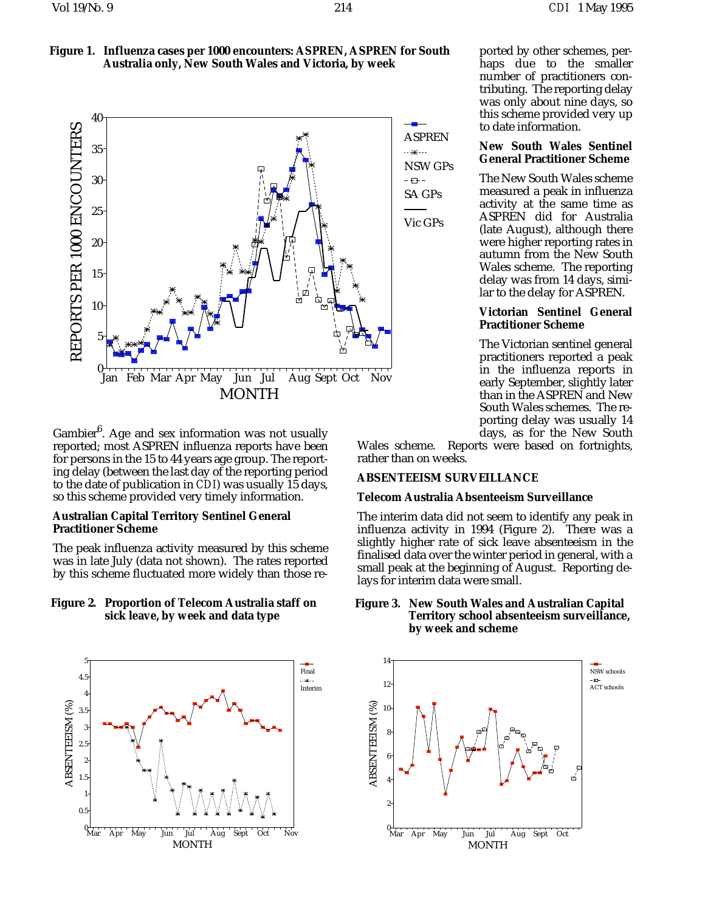ported by other schemes, perhaps due to the smaller number of practitioners contributing. The reporting delay was only about nine days, so this scheme provided very up

**New South Wales Sentinel General Practitioner Scheme** The New South Wales scheme measured a peak in influenza activity at the same time as

to date information.





Gambier<sup>6</sup>. Age and sex information was not usually reported; most ASPREN influenza reports have been for persons in the 15 to 44 years age group. The reporting delay (between the last day of the reporting period to the date of publication in *CDI*) was usually 15 days, so this scheme provided very timely information.

# **Australian Capital Territory Sentinel General Practitioner Scheme**

The peak influenza activity measured by this scheme was in late July (data not shown). The rates reported by this scheme fluctuated more widely than those re-

# **Figure 2. Proportion of Telecom Australia staff on sick leave, by week and data type**



ASPREN NSW GPs SA GPs

Vic GPs

ASPREN did for Australia (late August), although there were higher reporting rates in autumn from the New South Wales scheme. The reporting delay was from 14 days, similar to the delay for ASPREN.

# **Victorian Sentinel General Practitioner Scheme**

The Victorian sentinel general practitioners reported a peak in the influenza reports in early September, slightly later than in the ASPREN and New South Wales schemes. The reporting delay was usually 14 days, as for the New South

Wales scheme. Reports were based on fortnights, rather than on weeks.

# **ABSENTEEISM SURVEILLANCE**

# **Telecom Australia Absenteeism Surveillance**

The interim data did not seem to identify any peak in influenza activity in 1994 (Figure 2). There was a slightly higher rate of sick leave absenteeism in the finalised data over the winter period in general, with a small peak at the beginning of August. Reporting delays for interim data were small.

# **Figure 3. New South Wales and Australian Capital Territory school absenteeism surveillance, by week and scheme**

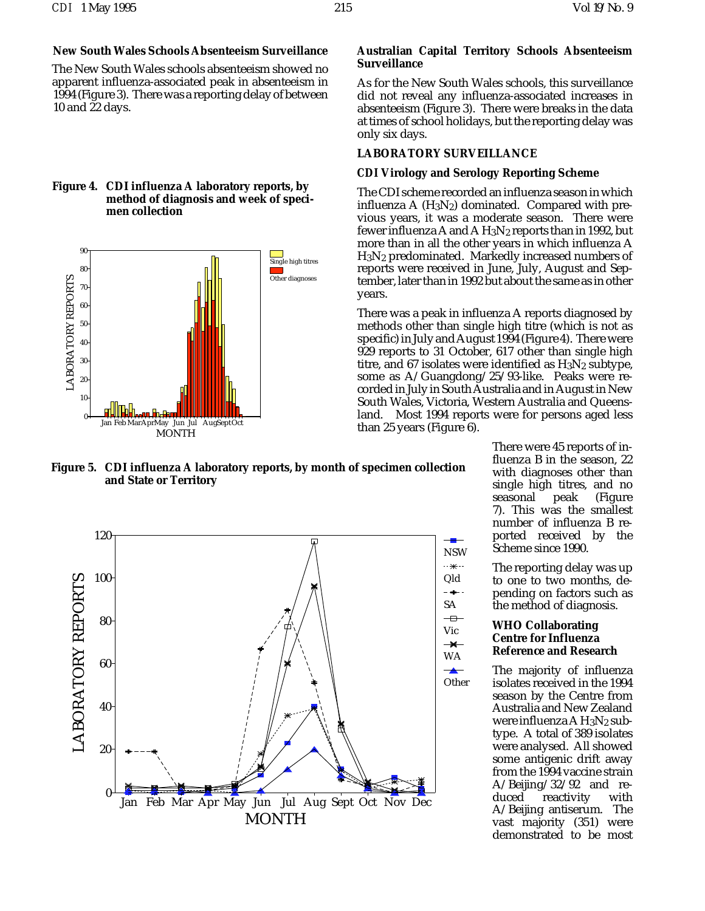# **New South Wales Schools Absenteeism Surveillance**

The New South Wales schools absenteeism showed no apparent influenza-associated peak in absenteeism in 1994 (Figure 3). There was a reporting delay of between 10 and 22 days.

#### **Figure 4. CDI influenza A laboratory reports, by method of diagnosis and week of specimen collection**



**Figure 5. CDI influenza A laboratory reports, by month of specimen collection and State or Territory**



# **Australian Capital Territory Schools Absenteeism Surveillance**

As for the New South Wales schools, this surveillance did not reveal any influenza-associated increases in absenteeism (Figure 3). There were breaks in the data at times of school holidays, but the reporting delay was only six days.

# **LABORATORY SURVEILLANCE**

#### *CDI* **Virology and Serology Reporting Scheme**

The CDI scheme recorded an influenza season in which influenza  $A(H_3N_2)$  dominated. Compared with previous years, it was a moderate season. There were fewer influenza A and A  $H_3N_2$  reports than in 1992, but more than in all the other years in which influenza A H3N2 predominated. Markedly increased numbers of reports were received in June, July, August and September, later than in 1992 but about the same as in other years.

There was a peak in influenza A reports diagnosed by methods other than single high titre (which is not as specific) in July and August 1994 (Figure 4). There were 929 reports to 31 October, 617 other than single high titre, and 67 isolates were identified as  $H_3N_2$  subtype, some as A/Guangdong/25/93-like. Peaks were recorded in July in South Australia and in August in New South Wales, Victoria, Western Australia and Queensland. Most 1994 reports were for persons aged less than 25 years (Figure 6).

> There were 45 reports of influenza B in the season, 22 with diagnoses other than single high titres, and no seasonal peak (Figure 7). This was the smallest number of influenza B reported received by the Scheme since 1990.

The reporting delay was up to one to two months, depending on factors such as the method of diagnosis.

# **WHO Collaborating Centre for Influenza Reference and Research**

The majority of influenza isolates received in the 1994 season by the Centre from Australia and New Zealand were influenza A H<sub>3</sub>N<sub>2</sub> subtype. A total of 389 isolates were analysed. All showed some antigenic drift away from the 1994 vaccine strain A/Beijing/32/92 and rereactivity with A/Beijing antiserum. The vast majority (351) were demonstrated to be most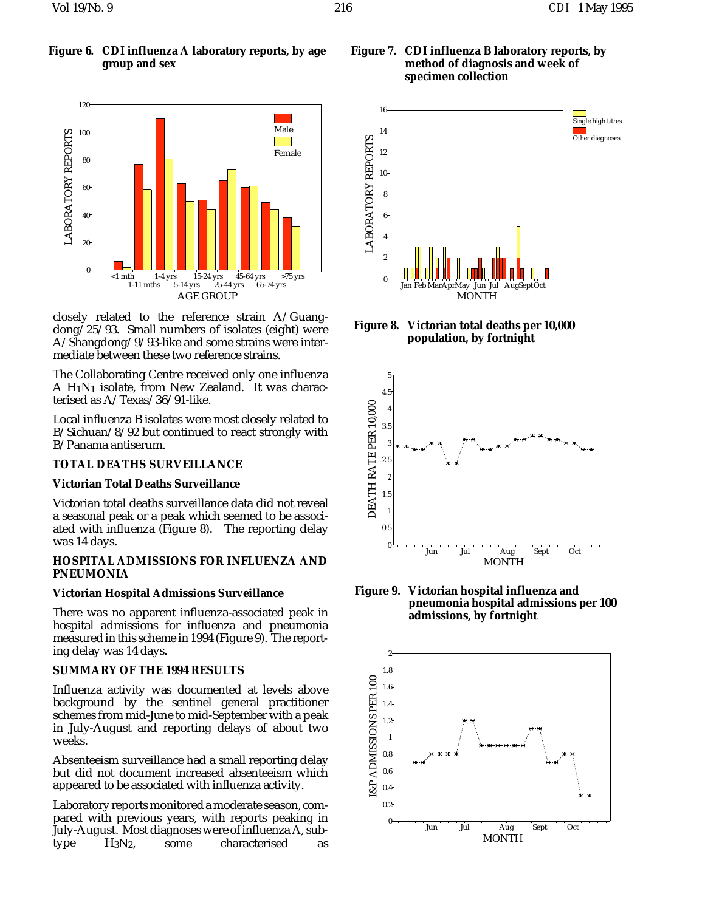

closely related to the reference strain A/Guangdong/25/93. Small numbers of isolates (eight) were A/Shangdong/9/93-like and some strains were intermediate between these two reference strains.

The Collaborating Centre received only one influenza A  $H_1N_1$  isolate, from New Zealand. It was characterised as A/Texas/36/91-like.

Local influenza B isolates were most closely related to B/Sichuan/8/92 but continued to react strongly with B/Panama antiserum.

# **TOTAL DEATHS SURVEILLANCE**

#### **Victorian Total Deaths Surveillance**

Victorian total deaths surveillance data did not reveal a seasonal peak or a peak which seemed to be associated with influenza (Figure 8). The reporting delay was 14 days.

# **HOSPITAL ADMISSIONS FOR INFLUENZA AND PNEUMONIA**

#### **Victorian Hospital Admissions Surveillance**

There was no apparent influenza-associated peak in hospital admissions for influenza and pneumonia measured in this scheme in 1994 (Figure 9). The reporting delay was 14 days.

# **SUMMARY OF THE 1994 RESULTS**

Influenza activity was documented at levels above background by the sentinel general practitioner schemes from mid-June to mid-September with a peak in July-August and reporting delays of about two weeks.

Absenteeism surveillance had a small reporting delay but did not document increased absenteeism which appeared to be associated with influenza activity.

Laboratory reports monitored a moderate season, compared with previous years, with reports peaking in July-August. Most diagnoses were of influenza A, subtype H3N2, some characterised as

# **Figure 7. CDI influenza B laboratory reports, by method of diagnosis and week of specimen collection**



**Figure 8. Victorian total deaths per 10,000 population, by fortnight**



**Figure 9. Victorian hospital influenza and pneumonia hospital admissions per 100 admissions, by fortnight**